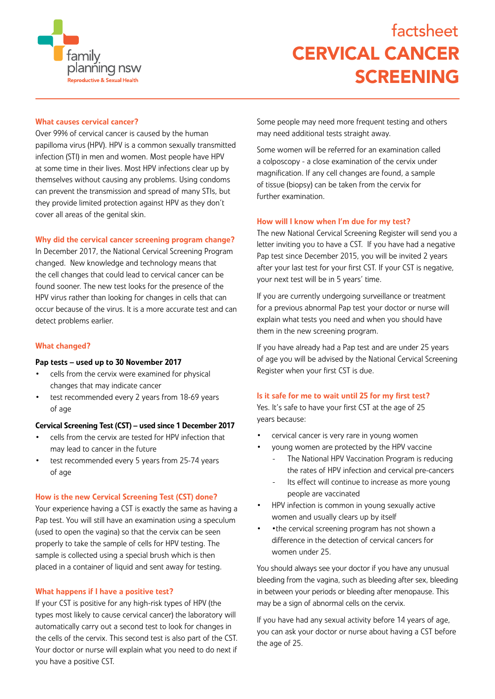

# CERVICAL CANCER SCREENING factsheet

# What causes cervical cancer?

Over 99% of cervical cancer is caused by the human papilloma virus (HPV). HPV is a common sexually transmitted infection (STI) in men and women. Most people have HPV at some time in their lives. Most HPV infections clear up by themselves without causing any problems. Using condoms can prevent the transmission and spread of many STIs, but they provide limited protection against HPV as they don't cover all areas of the genital skin.

# Why did the cervical cancer screening program change?

In December 2017, the National Cervical Screening Program changed. New knowledge and technology means that the cell changes that could lead to cervical cancer can be found sooner. The new test looks for the presence of the HPV virus rather than looking for changes in cells that can occur because of the virus. It is a more accurate test and can detect problems earlier.

# What changed?

## Pap tests – used up to 30 November 2017

- cells from the cervix were examined for physical changes that may indicate cancer
- test recommended every 2 years from 18-69 years of age

## Cervical Screening Test (CST) – used since 1 December 2017

- cells from the cervix are tested for HPV infection that may lead to cancer in the future
- test recommended every 5 years from 25-74 years of age

## How is the new Cervical Screening Test (CST) done?

Your experience having a CST is exactly the same as having a Pap test. You will still have an examination using a speculum (used to open the vagina) so that the cervix can be seen properly to take the sample of cells for HPV testing. The sample is collected using a special brush which is then placed in a container of liquid and sent away for testing.

## What happens if I have a positive test?

If your CST is positive for any high-risk types of HPV (the types most likely to cause cervical cancer) the laboratory will automatically carry out a second test to look for changes in the cells of the cervix. This second test is also part of the CST. Your doctor or nurse will explain what you need to do next if you have a positive CST.

Some people may need more frequent testing and others may need additional tests straight away.

Some women will be referred for an examination called a colposcopy - a close examination of the cervix under magnification. If any cell changes are found, a sample of tissue (biopsy) can be taken from the cervix for further examination.

# How will I know when I'm due for my test?

The new National Cervical Screening Register will send you a letter inviting you to have a CST. If you have had a negative Pap test since December 2015, you will be invited 2 years after your last test for your first CST. If your CST is negative, your next test will be in 5 years' time.

If you are currently undergoing surveillance or treatment for a previous abnormal Pap test your doctor or nurse will explain what tests you need and when you should have them in the new screening program.

If you have already had a Pap test and are under 25 years of age you will be advised by the National Cervical Screening Register when your first CST is due.

## Is it safe for me to wait until 25 for my first test?

Yes. It's safe to have your first CST at the age of 25 years because:

- cervical cancer is very rare in young women
	- young women are protected by the HPV vaccine
		- The National HPV Vaccination Program is reducing the rates of HPV infection and cervical pre-cancers
		- Its effect will continue to increase as more young people are vaccinated
- HPV infection is common in young sexually active women and usually clears up by itself
- •the cervical screening program has not shown a difference in the detection of cervical cancers for women under 25.

You should always see your doctor if you have any unusual bleeding from the vagina, such as bleeding after sex, bleeding in between your periods or bleeding after menopause. This may be a sign of abnormal cells on the cervix.

If you have had any sexual activity before 14 years of age, you can ask your doctor or nurse about having a CST before the age of 25.